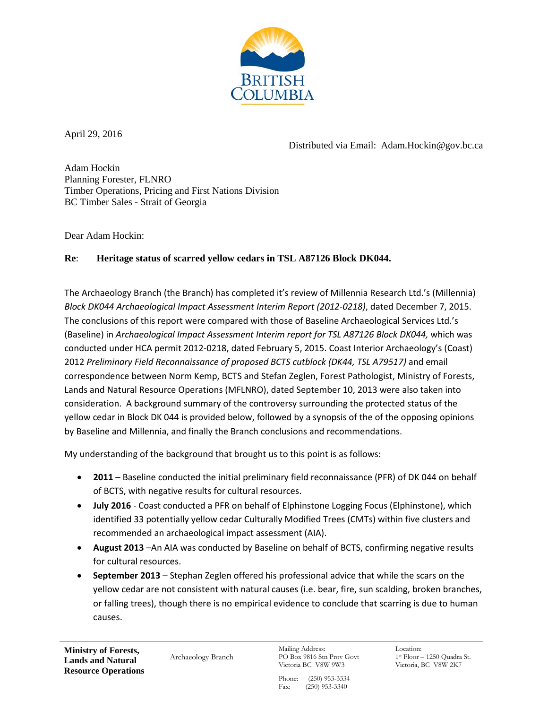

April 29, 2016

Distributed via Email: Adam.Hockin@gov.bc.ca

Adam Hockin Planning Forester, FLNRO Timber Operations, Pricing and First Nations Division BC Timber Sales - Strait of Georgia

Dear Adam Hockin:

## **Re**: **Heritage status of scarred yellow cedars in TSL A87126 Block DK044.**

The Archaeology Branch (the Branch) has completed it's review of Millennia Research Ltd.'s (Millennia) *Block DK044 Archaeological Impact Assessment Interim Report (2012-0218)*, dated December 7, 2015. The conclusions of this report were compared with those of Baseline Archaeological Services Ltd.'s (Baseline) in *Archaeological Impact Assessment Interim report for TSL A87126 Block DK044, which was* conducted under HCA permit 2012-0218, dated February 5, 2015. Coast Interior Archaeology's (Coast) 2012 *Preliminary Field Reconnaissance of proposed BCTS cutblock (DK44, TSL A79517)* and email correspondence between Norm Kemp, BCTS and Stefan Zeglen, Forest Pathologist, Ministry of Forests, Lands and Natural Resource Operations (MFLNRO), dated September 10, 2013 were also taken into consideration. A background summary of the controversy surrounding the protected status of the yellow cedar in Block DK 044 is provided below, followed by a synopsis of the of the opposing opinions by Baseline and Millennia, and finally the Branch conclusions and recommendations.

My understanding of the background that brought us to this point is as follows:

- **2011** Baseline conducted the initial preliminary field reconnaissance (PFR) of DK 044 on behalf of BCTS, with negative results for cultural resources.
- **July 2016** Coast conducted a PFR on behalf of Elphinstone Logging Focus (Elphinstone), which identified 33 potentially yellow cedar Culturally Modified Trees (CMTs) within five clusters and recommended an archaeological impact assessment (AIA).
- **August 2013** –An AIA was conducted by Baseline on behalf of BCTS, confirming negative results for cultural resources.
- **September 2013**  Stephan Zeglen offered his professional advice that while the scars on the yellow cedar are not consistent with natural causes (i.e. bear, fire, sun scalding, broken branches, or falling trees), though there is no empirical evidence to conclude that scarring is due to human causes.

 **Ministry of Forests, Lands and Natural Resource Operations**

Archaeology Branch

Mailing Address: PO Box 9816 Stn Prov Govt Victoria BC V8W 9W3

Location: 1st Floor – 1250 Quadra St. Victoria, BC V8W 2K7

Phone: (250) 953-3334 Fax: (250) 953-3340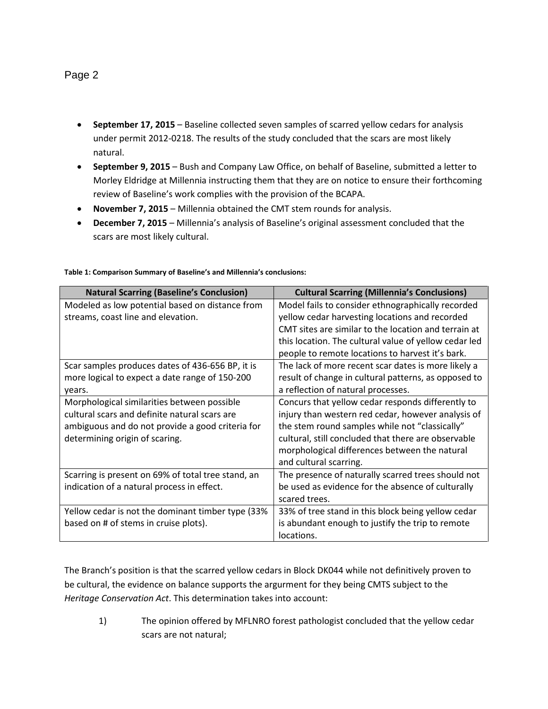## Page 2

- **September 17, 2015** Baseline collected seven samples of scarred yellow cedars for analysis under permit 2012-0218. The results of the study concluded that the scars are most likely natural.
- **September 9, 2015** Bush and Company Law Office, on behalf of Baseline, submitted a letter to Morley Eldridge at Millennia instructing them that they are on notice to ensure their forthcoming review of Baseline's work complies with the provision of the BCAPA.
- **November 7, 2015** Millennia obtained the CMT stem rounds for analysis.
- **December 7, 2015** Millennia's analysis of Baseline's original assessment concluded that the scars are most likely cultural.

| <b>Natural Scarring (Baseline's Conclusion)</b>    | <b>Cultural Scarring (Millennia's Conclusions)</b>    |
|----------------------------------------------------|-------------------------------------------------------|
| Modeled as low potential based on distance from    | Model fails to consider ethnographically recorded     |
| streams, coast line and elevation.                 | yellow cedar harvesting locations and recorded        |
|                                                    | CMT sites are similar to the location and terrain at  |
|                                                    | this location. The cultural value of yellow cedar led |
|                                                    | people to remote locations to harvest it's bark.      |
| Scar samples produces dates of 436-656 BP, it is   | The lack of more recent scar dates is more likely a   |
| more logical to expect a date range of 150-200     | result of change in cultural patterns, as opposed to  |
| years.                                             | a reflection of natural processes.                    |
| Morphological similarities between possible        | Concurs that yellow cedar responds differently to     |
| cultural scars and definite natural scars are      | injury than western red cedar, however analysis of    |
| ambiguous and do not provide a good criteria for   | the stem round samples while not "classically"        |
| determining origin of scaring.                     | cultural, still concluded that there are observable   |
|                                                    | morphological differences between the natural         |
|                                                    | and cultural scarring.                                |
| Scarring is present on 69% of total tree stand, an | The presence of naturally scarred trees should not    |
| indication of a natural process in effect.         | be used as evidence for the absence of culturally     |
|                                                    | scared trees.                                         |
| Yellow cedar is not the dominant timber type (33%  | 33% of tree stand in this block being yellow cedar    |
| based on # of stems in cruise plots).              | is abundant enough to justify the trip to remote      |
|                                                    | locations.                                            |

## **Table 1: Comparison Summary of Baseline's and Millennia's conclusions:**

The Branch's position is that the scarred yellow cedars in Block DK044 while not definitively proven to be cultural, the evidence on balance supports the argurment for they being CMTS subject to the *Heritage Conservation Act*. This determination takes into account:

1) The opinion offered by MFLNRO forest pathologist concluded that the yellow cedar scars are not natural;